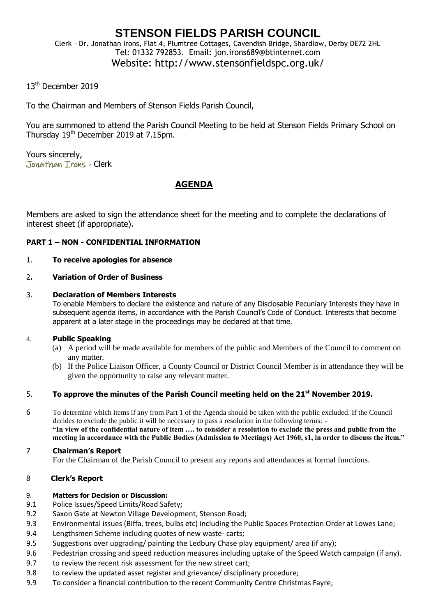## **STENSON FIELDS PARISH COUNCIL** Clerk – Dr. Jonathan Irons, Flat 4, Plumtree Cottages, Cavendish Bridge, Shardlow, Derby DE72 2HL Tel: 01332 792853. Email: jon.irons689@btinternet.com

# Website: http://www.stensonfieldspc.org.uk/

### 13<sup>th</sup> December 2019

To the Chairman and Members of Stenson Fields Parish Council,

You are summoned to attend the Parish Council Meeting to be held at Stenson Fields Primary School on Thursday 19<sup>th</sup> December 2019 at 7.15pm.

Yours sincerely, Jonathan Irons - Clerk

## **AGENDA**

Members are asked to sign the attendance sheet for the meeting and to complete the declarations of interest sheet (if appropriate).

#### **PART 1 – NON - CONFIDENTIAL INFORMATION**

#### 1. **To receive apologies for absence**

#### 2**. Variation of Order of Business**

#### 3. **Declaration of Members Interests**

To enable Members to declare the existence and nature of any Disclosable Pecuniary Interests they have in subsequent agenda items, in accordance with the Parish Council's Code of Conduct. Interests that become apparent at a later stage in the proceedings may be declared at that time.

#### 4. **Public Speaking**

- (a) A period will be made available for members of the public and Members of the Council to comment on any matter.
- (b) If the Police Liaison Officer, a County Council or District Council Member is in attendance they will be given the opportunity to raise any relevant matter.

### 5. **To approve the minutes of the Parish Council meeting held on the 21st November 2019.**

6 To determine which items if any from Part 1 of the Agenda should be taken with the public excluded. If the Council decides to exclude the public it will be necessary to pass a resolution in the following terms: - **"In view of the confidential nature of item …. to consider a resolution to exclude the press and public from the meeting in accordance with the Public Bodies (Admission to Meetings) Act 1960, s1, in order to discuss the item."** 

#### 7 **Chairman's Report**

For the Chairman of the Parish Council to present any reports and attendances at formal functions.

#### 8 **Clerk's Report**

#### 9. **Matters for Decision or Discussion:**

- 9.1 Police Issues/Speed Limits/Road Safety;
- 9.2 Saxon Gate at Newton Village Development, Stenson Road;
- 9.3 Environmental issues (Biffa, trees, bulbs etc) including the Public Spaces Protection Order at Lowes Lane;
- 9.4 Lengthsmen Scheme including quotes of new waste- carts;
- 9.5 Suggestions over upgrading/ painting the Ledbury Chase play equipment/ area (if any);
- 9.6 Pedestrian crossing and speed reduction measures including uptake of the Speed Watch campaign (if any).
- 9.7 to review the recent risk assessment for the new street cart;
- 9.8 to review the updated asset register and grievance/ disciplinary procedure;
- 9.9 To consider a financial contribution to the recent Community Centre Christmas Fayre;